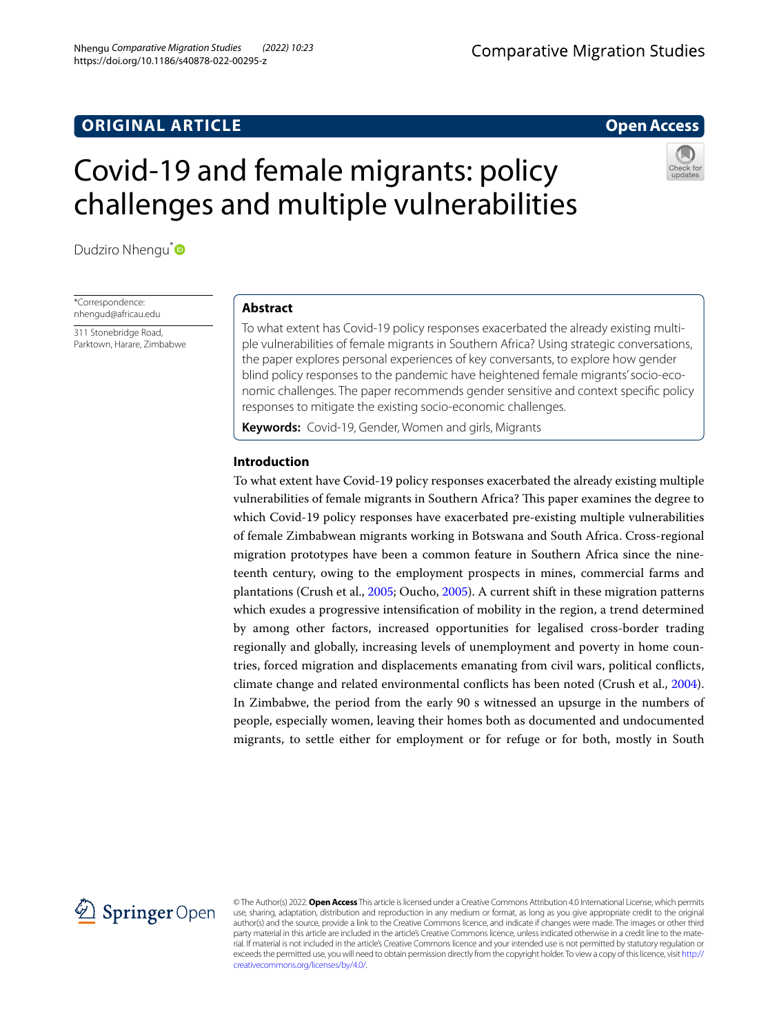# **ORIGINAL ARTICLE**

# **Open Access**

# Covid‑19 and female migrants: policy challenges and multiple vulnerabilities



Dudziro Nhengu<sup>\*</sup>

\*Correspondence: nhengud@africau.edu

311 Stonebridge Road, Parktown, Harare, Zimbabwe **Abstract**

To what extent has Covid-19 policy responses exacerbated the already existing multiple vulnerabilities of female migrants in Southern Africa? Using strategic conversations, the paper explores personal experiences of key conversants, to explore how gender blind policy responses to the pandemic have heightened female migrants' socio-economic challenges. The paper recommends gender sensitive and context specifc policy responses to mitigate the existing socio-economic challenges.

**Keywords:** Covid-19, Gender, Women and girls, Migrants

# **Introduction**

To what extent have Covid-19 policy responses exacerbated the already existing multiple vulnerabilities of female migrants in Southern Africa? This paper examines the degree to which Covid-19 policy responses have exacerbated pre-existing multiple vulnerabilities of female Zimbabwean migrants working in Botswana and South Africa. Cross-regional migration prototypes have been a common feature in Southern Africa since the nineteenth century, owing to the employment prospects in mines, commercial farms and plantations (Crush et al., [2005;](#page-14-0) Oucho, [2005\)](#page-14-1). A current shift in these migration patterns which exudes a progressive intensifcation of mobility in the region, a trend determined by among other factors, increased opportunities for legalised cross-border trading regionally and globally, increasing levels of unemployment and poverty in home countries, forced migration and displacements emanating from civil wars, political conficts, climate change and related environmental conficts has been noted (Crush et al., [2004](#page-14-2)). In Zimbabwe, the period from the early 90 s witnessed an upsurge in the numbers of people, especially women, leaving their homes both as documented and undocumented migrants, to settle either for employment or for refuge or for both, mostly in South



© The Author(s) 2022. **Open Access** This article is licensed under a Creative Commons Attribution 4.0 International License, which permits use, sharing, adaptation, distribution and reproduction in any medium or format, as long as you give appropriate credit to the original author(s) and the source, provide a link to the Creative Commons licence, and indicate if changes were made. The images or other third party material in this article are included in the article's Creative Commons licence, unless indicated otherwise in a credit line to the material. If material is not included in the article's Creative Commons licence and your intended use is not permitted by statutory regulation or exceeds the permitted use, you will need to obtain permission directly from the copyright holder. To view a copy of this licence, visit [http://](http://creativecommons.org/licenses/by/4.0/) [creativecommons.org/licenses/by/4.0/.](http://creativecommons.org/licenses/by/4.0/)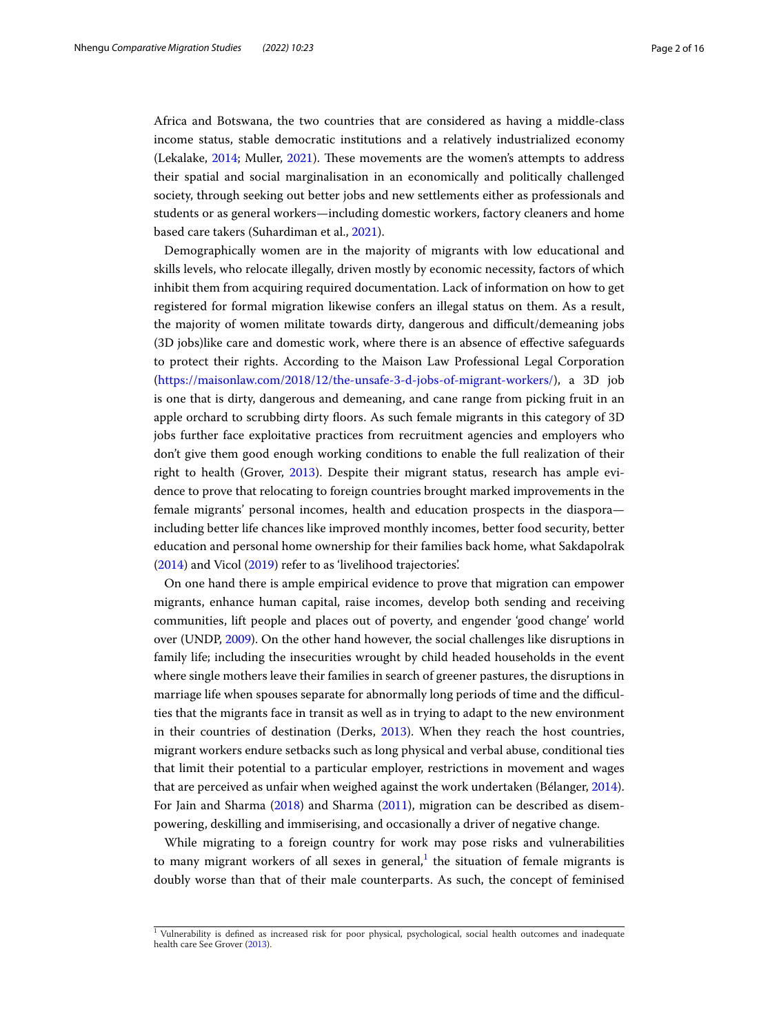Africa and Botswana, the two countries that are considered as having a middle-class income status, stable democratic institutions and a relatively industrialized economy (Lekalake, [2014;](#page-15-0) Muller, [2021](#page-15-1)). These movements are the women's attempts to address their spatial and social marginalisation in an economically and politically challenged society, through seeking out better jobs and new settlements either as professionals and students or as general workers—including domestic workers, factory cleaners and home based care takers (Suhardiman et al., [2021\)](#page-15-2).

Demographically women are in the majority of migrants with low educational and skills levels, who relocate illegally, driven mostly by economic necessity, factors of which inhibit them from acquiring required documentation. Lack of information on how to get registered for formal migration likewise confers an illegal status on them. As a result, the majority of women militate towards dirty, dangerous and difficult/demeaning jobs (3D jobs)like care and domestic work, where there is an absence of efective safeguards to protect their rights. According to the Maison Law Professional Legal Corporation (<https://maisonlaw.com/2018/12/the-unsafe-3-d-jobs-of-migrant-workers/>), a 3D job is one that is dirty, dangerous and demeaning, and cane range from picking fruit in an apple orchard to scrubbing dirty foors. As such female migrants in this category of 3D jobs further face exploitative practices from recruitment agencies and employers who don't give them good enough working conditions to enable the full realization of their right to health (Grover, [2013](#page-14-3)). Despite their migrant status, research has ample evidence to prove that relocating to foreign countries brought marked improvements in the female migrants' personal incomes, health and education prospects in the diaspora including better life chances like improved monthly incomes, better food security, better education and personal home ownership for their families back home, what Sakdapolrak ([2014\)](#page-15-3) and Vicol [\(2019\)](#page-15-4) refer to as 'livelihood trajectories'.

On one hand there is ample empirical evidence to prove that migration can empower migrants, enhance human capital, raise incomes, develop both sending and receiving communities, lift people and places out of poverty, and engender 'good change' world over (UNDP, [2009\)](#page-15-5). On the other hand however, the social challenges like disruptions in family life; including the insecurities wrought by child headed households in the event where single mothers leave their families in search of greener pastures, the disruptions in marriage life when spouses separate for abnormally long periods of time and the difculties that the migrants face in transit as well as in trying to adapt to the new environment in their countries of destination (Derks, [2013](#page-14-4)). When they reach the host countries, migrant workers endure setbacks such as long physical and verbal abuse, conditional ties that limit their potential to a particular employer, restrictions in movement and wages that are perceived as unfair when weighed against the work undertaken (Bélanger, [2014](#page-14-5)). For Jain and Sharma ([2018](#page-14-6)) and Sharma [\(2011\)](#page-15-6), migration can be described as disempowering, deskilling and immiserising, and occasionally a driver of negative change.

While migrating to a foreign country for work may pose risks and vulnerabilities to many migrant workers of all sexes in general, $^1$  $^1$  the situation of female migrants is doubly worse than that of their male counterparts. As such, the concept of feminised

<span id="page-1-0"></span><sup>&</sup>lt;sup>1</sup> Vulnerability is defined as increased risk for poor physical, psychological, social health outcomes and inadequate health care See Grover ([2013](#page-14-3)).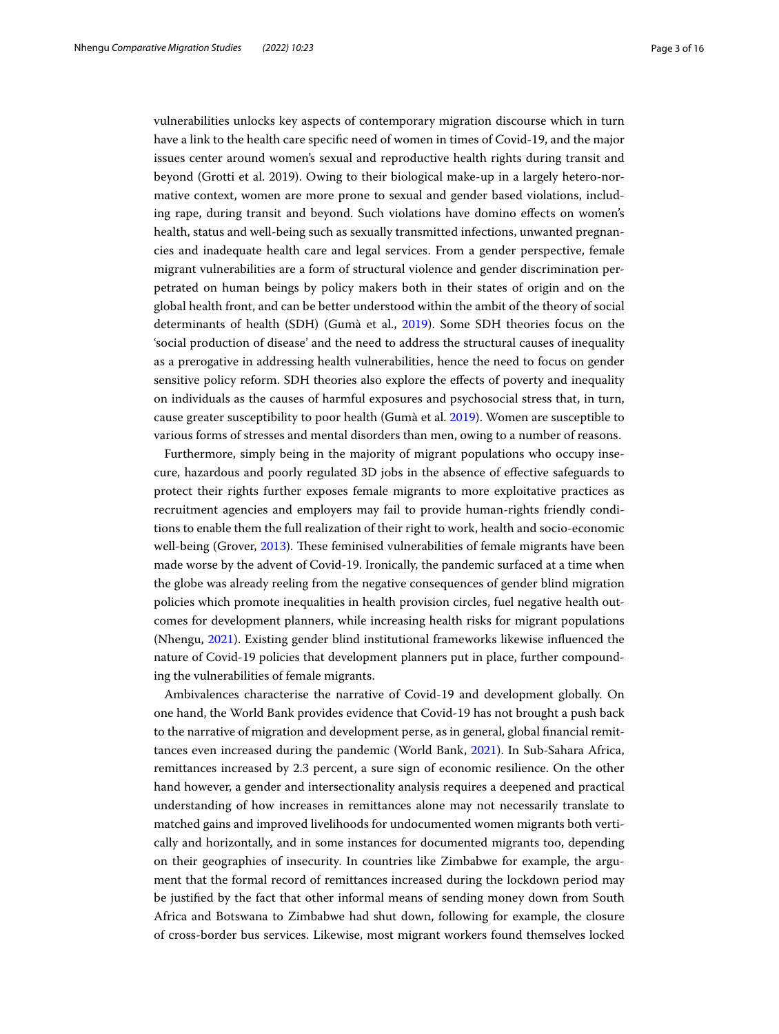vulnerabilities unlocks key aspects of contemporary migration discourse which in turn have a link to the health care specifc need of women in times of Covid-19, and the major issues center around women's sexual and reproductive health rights during transit and beyond (Grotti et al. 2019). Owing to their biological make-up in a largely hetero-normative context, women are more prone to sexual and gender based violations, including rape, during transit and beyond. Such violations have domino efects on women's health, status and well-being such as sexually transmitted infections, unwanted pregnancies and inadequate health care and legal services. From a gender perspective, female migrant vulnerabilities are a form of structural violence and gender discrimination perpetrated on human beings by policy makers both in their states of origin and on the global health front, and can be better understood within the ambit of the theory of social determinants of health (SDH) (Gumà et al., [2019](#page-14-7)). Some SDH theories focus on the 'social production of disease' and the need to address the structural causes of inequality as a prerogative in addressing health vulnerabilities, hence the need to focus on gender sensitive policy reform. SDH theories also explore the efects of poverty and inequality on individuals as the causes of harmful exposures and psychosocial stress that, in turn, cause greater susceptibility to poor health (Gumà et al. [2019\)](#page-14-7). Women are susceptible to various forms of stresses and mental disorders than men, owing to a number of reasons.

Furthermore, simply being in the majority of migrant populations who occupy insecure, hazardous and poorly regulated 3D jobs in the absence of efective safeguards to protect their rights further exposes female migrants to more exploitative practices as recruitment agencies and employers may fail to provide human-rights friendly conditions to enable them the full realization of their right to work, health and socio-economic well-being (Grover, [2013\)](#page-14-3). These feminised vulnerabilities of female migrants have been made worse by the advent of Covid-19. Ironically, the pandemic surfaced at a time when the globe was already reeling from the negative consequences of gender blind migration policies which promote inequalities in health provision circles, fuel negative health outcomes for development planners, while increasing health risks for migrant populations (Nhengu, [2021\)](#page-15-7). Existing gender blind institutional frameworks likewise infuenced the nature of Covid-19 policies that development planners put in place, further compounding the vulnerabilities of female migrants.

Ambivalences characterise the narrative of Covid-19 and development globally. On one hand, the World Bank provides evidence that Covid-19 has not brought a push back to the narrative of migration and development perse, as in general, global fnancial remittances even increased during the pandemic (World Bank, [2021\)](#page-15-8). In Sub-Sahara Africa, remittances increased by 2.3 percent, a sure sign of economic resilience. On the other hand however, a gender and intersectionality analysis requires a deepened and practical understanding of how increases in remittances alone may not necessarily translate to matched gains and improved livelihoods for undocumented women migrants both vertically and horizontally, and in some instances for documented migrants too, depending on their geographies of insecurity. In countries like Zimbabwe for example, the argument that the formal record of remittances increased during the lockdown period may be justifed by the fact that other informal means of sending money down from South Africa and Botswana to Zimbabwe had shut down, following for example, the closure of cross-border bus services. Likewise, most migrant workers found themselves locked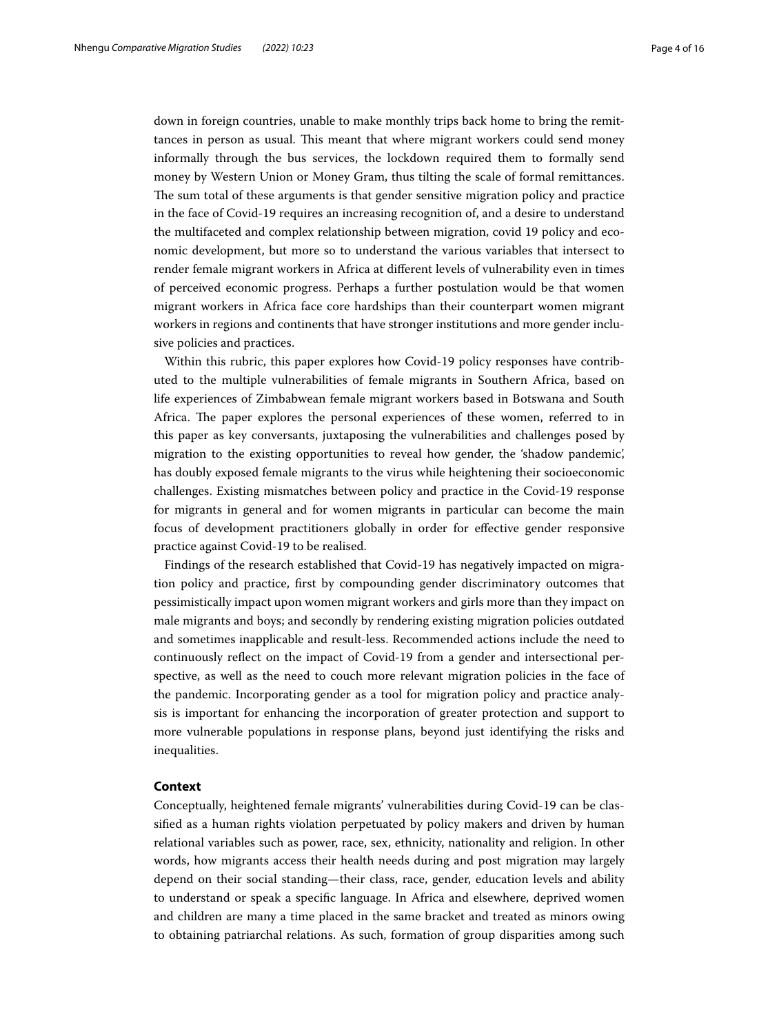down in foreign countries, unable to make monthly trips back home to bring the remittances in person as usual. Tis meant that where migrant workers could send money informally through the bus services, the lockdown required them to formally send money by Western Union or Money Gram, thus tilting the scale of formal remittances. The sum total of these arguments is that gender sensitive migration policy and practice in the face of Covid-19 requires an increasing recognition of, and a desire to understand the multifaceted and complex relationship between migration, covid 19 policy and economic development, but more so to understand the various variables that intersect to render female migrant workers in Africa at diferent levels of vulnerability even in times of perceived economic progress. Perhaps a further postulation would be that women migrant workers in Africa face core hardships than their counterpart women migrant workers in regions and continents that have stronger institutions and more gender inclusive policies and practices.

Within this rubric, this paper explores how Covid-19 policy responses have contributed to the multiple vulnerabilities of female migrants in Southern Africa, based on life experiences of Zimbabwean female migrant workers based in Botswana and South Africa. The paper explores the personal experiences of these women, referred to in this paper as key conversants, juxtaposing the vulnerabilities and challenges posed by migration to the existing opportunities to reveal how gender, the 'shadow pandemic', has doubly exposed female migrants to the virus while heightening their socioeconomic challenges. Existing mismatches between policy and practice in the Covid-19 response for migrants in general and for women migrants in particular can become the main focus of development practitioners globally in order for efective gender responsive practice against Covid-19 to be realised.

Findings of the research established that Covid-19 has negatively impacted on migration policy and practice, frst by compounding gender discriminatory outcomes that pessimistically impact upon women migrant workers and girls more than they impact on male migrants and boys; and secondly by rendering existing migration policies outdated and sometimes inapplicable and result-less. Recommended actions include the need to continuously refect on the impact of Covid-19 from a gender and intersectional perspective, as well as the need to couch more relevant migration policies in the face of the pandemic. Incorporating gender as a tool for migration policy and practice analysis is important for enhancing the incorporation of greater protection and support to more vulnerable populations in response plans, beyond just identifying the risks and inequalities.

# **Context**

Conceptually, heightened female migrants' vulnerabilities during Covid-19 can be classifed as a human rights violation perpetuated by policy makers and driven by human relational variables such as power, race, sex, ethnicity, nationality and religion. In other words, how migrants access their health needs during and post migration may largely depend on their social standing—their class, race, gender, education levels and ability to understand or speak a specifc language. In Africa and elsewhere, deprived women and children are many a time placed in the same bracket and treated as minors owing to obtaining patriarchal relations. As such, formation of group disparities among such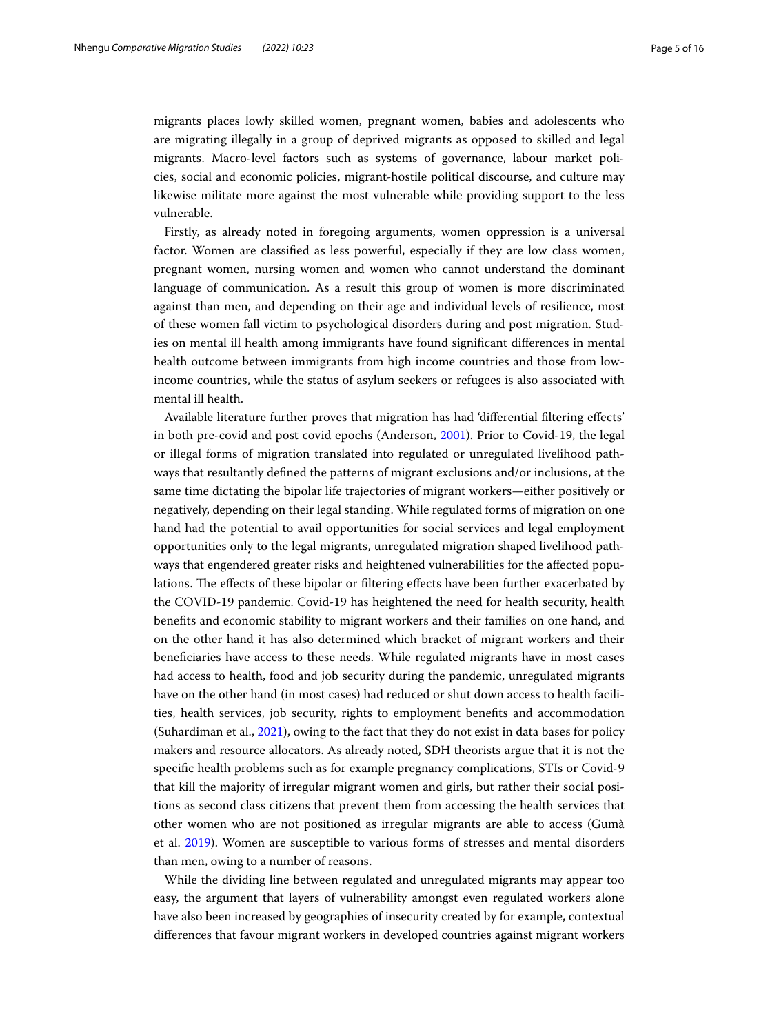migrants places lowly skilled women, pregnant women, babies and adolescents who are migrating illegally in a group of deprived migrants as opposed to skilled and legal migrants. Macro-level factors such as systems of governance, labour market policies, social and economic policies, migrant-hostile political discourse, and culture may likewise militate more against the most vulnerable while providing support to the less vulnerable.

Firstly, as already noted in foregoing arguments, women oppression is a universal factor. Women are classifed as less powerful, especially if they are low class women, pregnant women, nursing women and women who cannot understand the dominant language of communication. As a result this group of women is more discriminated against than men, and depending on their age and individual levels of resilience, most of these women fall victim to psychological disorders during and post migration. Studies on mental ill health among immigrants have found signifcant diferences in mental health outcome between immigrants from high income countries and those from lowincome countries, while the status of asylum seekers or refugees is also associated with mental ill health.

Available literature further proves that migration has had 'diferential fltering efects' in both pre-covid and post covid epochs (Anderson, [2001](#page-14-8)). Prior to Covid-19, the legal or illegal forms of migration translated into regulated or unregulated livelihood pathways that resultantly defned the patterns of migrant exclusions and/or inclusions, at the same time dictating the bipolar life trajectories of migrant workers—either positively or negatively, depending on their legal standing. While regulated forms of migration on one hand had the potential to avail opportunities for social services and legal employment opportunities only to the legal migrants, unregulated migration shaped livelihood pathways that engendered greater risks and heightened vulnerabilities for the afected populations. The effects of these bipolar or filtering effects have been further exacerbated by the COVID-19 pandemic. Covid-19 has heightened the need for health security, health benefts and economic stability to migrant workers and their families on one hand, and on the other hand it has also determined which bracket of migrant workers and their benefciaries have access to these needs. While regulated migrants have in most cases had access to health, food and job security during the pandemic, unregulated migrants have on the other hand (in most cases) had reduced or shut down access to health facilities, health services, job security, rights to employment benefts and accommodation (Suhardiman et al., [2021\)](#page-15-2), owing to the fact that they do not exist in data bases for policy makers and resource allocators. As already noted, SDH theorists argue that it is not the specifc health problems such as for example pregnancy complications, STIs or Covid-9 that kill the majority of irregular migrant women and girls, but rather their social positions as second class citizens that prevent them from accessing the health services that other women who are not positioned as irregular migrants are able to access (Gumà et al. [2019](#page-14-7)). Women are susceptible to various forms of stresses and mental disorders than men, owing to a number of reasons.

While the dividing line between regulated and unregulated migrants may appear too easy, the argument that layers of vulnerability amongst even regulated workers alone have also been increased by geographies of insecurity created by for example, contextual diferences that favour migrant workers in developed countries against migrant workers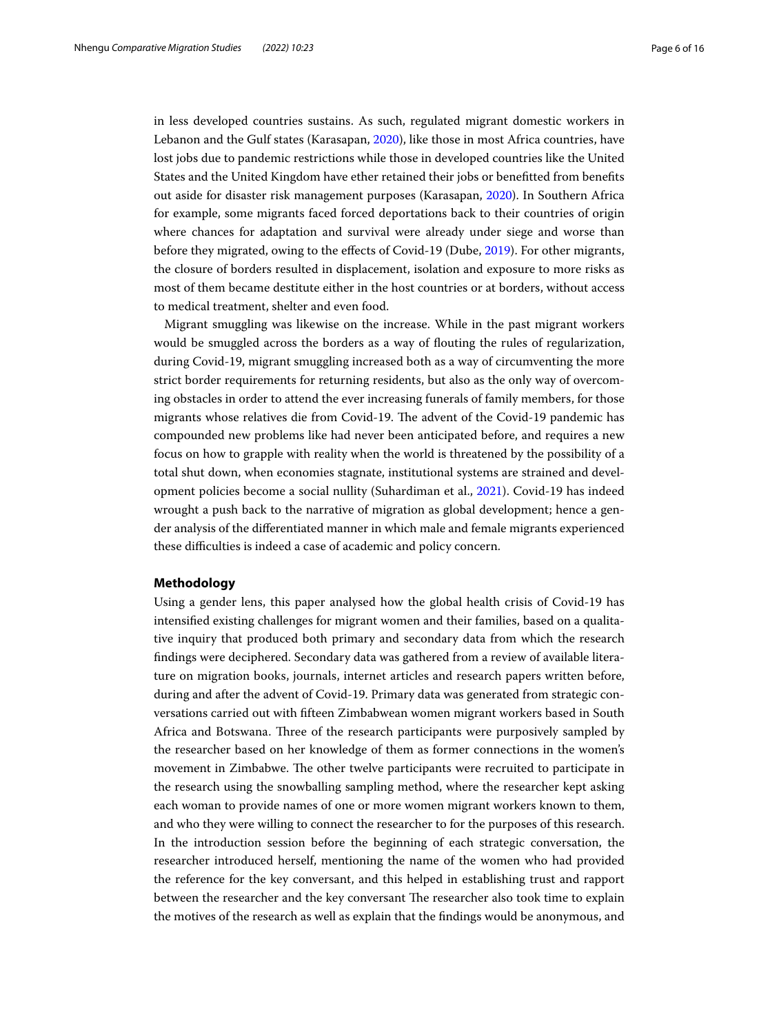in less developed countries sustains. As such, regulated migrant domestic workers in Lebanon and the Gulf states (Karasapan, [2020](#page-15-9)), like those in most Africa countries, have lost jobs due to pandemic restrictions while those in developed countries like the United States and the United Kingdom have ether retained their jobs or beneftted from benefts out aside for disaster risk management purposes (Karasapan, [2020\)](#page-15-9). In Southern Africa for example, some migrants faced forced deportations back to their countries of origin where chances for adaptation and survival were already under siege and worse than before they migrated, owing to the effects of Covid-19 (Dube, [2019](#page-14-9)). For other migrants, the closure of borders resulted in displacement, isolation and exposure to more risks as most of them became destitute either in the host countries or at borders, without access to medical treatment, shelter and even food.

Migrant smuggling was likewise on the increase. While in the past migrant workers would be smuggled across the borders as a way of fouting the rules of regularization, during Covid-19, migrant smuggling increased both as a way of circumventing the more strict border requirements for returning residents, but also as the only way of overcoming obstacles in order to attend the ever increasing funerals of family members, for those migrants whose relatives die from Covid-19. The advent of the Covid-19 pandemic has compounded new problems like had never been anticipated before, and requires a new focus on how to grapple with reality when the world is threatened by the possibility of a total shut down, when economies stagnate, institutional systems are strained and development policies become a social nullity (Suhardiman et al., [2021](#page-15-2)). Covid-19 has indeed wrought a push back to the narrative of migration as global development; hence a gender analysis of the diferentiated manner in which male and female migrants experienced these difficulties is indeed a case of academic and policy concern.

# **Methodology**

Using a gender lens, this paper analysed how the global health crisis of Covid-19 has intensifed existing challenges for migrant women and their families, based on a qualitative inquiry that produced both primary and secondary data from which the research fndings were deciphered. Secondary data was gathered from a review of available literature on migration books, journals, internet articles and research papers written before, during and after the advent of Covid-19. Primary data was generated from strategic conversations carried out with ffteen Zimbabwean women migrant workers based in South Africa and Botswana. Three of the research participants were purposively sampled by the researcher based on her knowledge of them as former connections in the women's movement in Zimbabwe. The other twelve participants were recruited to participate in the research using the snowballing sampling method, where the researcher kept asking each woman to provide names of one or more women migrant workers known to them, and who they were willing to connect the researcher to for the purposes of this research. In the introduction session before the beginning of each strategic conversation, the researcher introduced herself, mentioning the name of the women who had provided the reference for the key conversant, and this helped in establishing trust and rapport between the researcher and the key conversant The researcher also took time to explain the motives of the research as well as explain that the fndings would be anonymous, and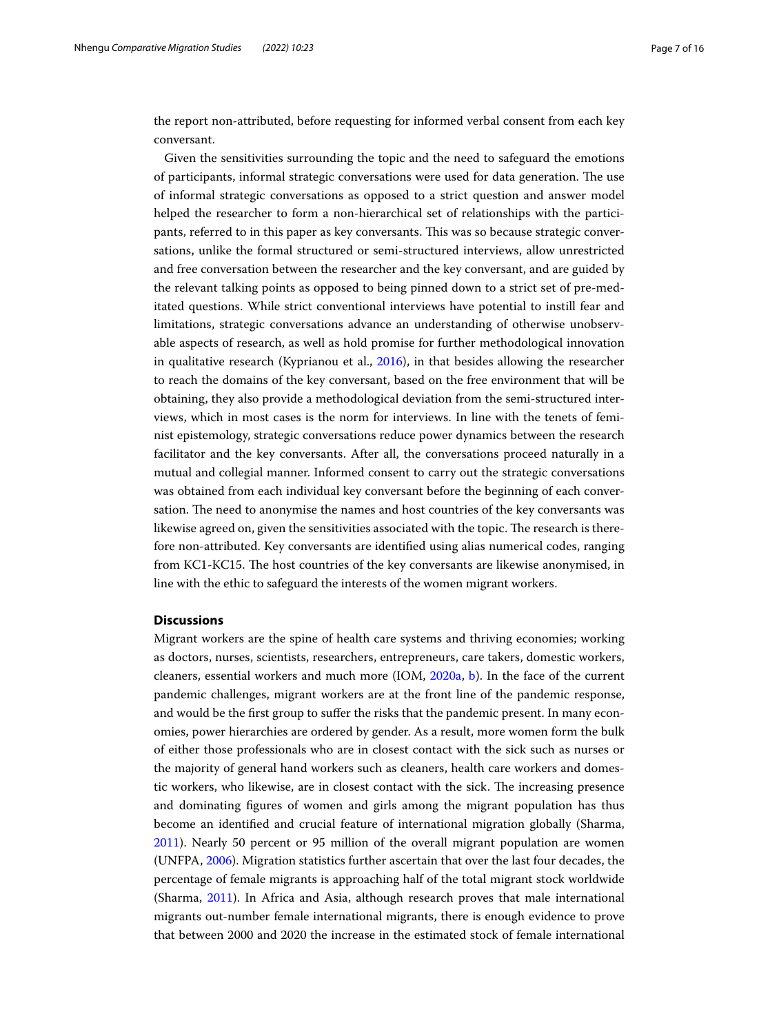the report non-attributed, before requesting for informed verbal consent from each key conversant.

Given the sensitivities surrounding the topic and the need to safeguard the emotions of participants, informal strategic conversations were used for data generation. The use of informal strategic conversations as opposed to a strict question and answer model helped the researcher to form a non-hierarchical set of relationships with the participants, referred to in this paper as key conversants. This was so because strategic conversations, unlike the formal structured or semi-structured interviews, allow unrestricted and free conversation between the researcher and the key conversant, and are guided by the relevant talking points as opposed to being pinned down to a strict set of pre-meditated questions. While strict conventional interviews have potential to instill fear and limitations, strategic conversations advance an understanding of otherwise unobservable aspects of research, as well as hold promise for further methodological innovation in qualitative research (Kyprianou et al., [2016\)](#page-15-10), in that besides allowing the researcher to reach the domains of the key conversant, based on the free environment that will be obtaining, they also provide a methodological deviation from the semi-structured interviews, which in most cases is the norm for interviews. In line with the tenets of feminist epistemology, strategic conversations reduce power dynamics between the research facilitator and the key conversants. After all, the conversations proceed naturally in a mutual and collegial manner. Informed consent to carry out the strategic conversations was obtained from each individual key conversant before the beginning of each conversation. The need to anonymise the names and host countries of the key conversants was likewise agreed on, given the sensitivities associated with the topic. The research is therefore non-attributed. Key conversants are identifed using alias numerical codes, ranging from KC1-KC15. The host countries of the key conversants are likewise anonymised, in line with the ethic to safeguard the interests of the women migrant workers.

# **Discussions**

Migrant workers are the spine of health care systems and thriving economies; working as doctors, nurses, scientists, researchers, entrepreneurs, care takers, domestic workers, cleaners, essential workers and much more (IOM, [2020a](#page-14-10), [b\)](#page-14-11). In the face of the current pandemic challenges, migrant workers are at the front line of the pandemic response, and would be the frst group to sufer the risks that the pandemic present. In many economies, power hierarchies are ordered by gender. As a result, more women form the bulk of either those professionals who are in closest contact with the sick such as nurses or the majority of general hand workers such as cleaners, health care workers and domestic workers, who likewise, are in closest contact with the sick. The increasing presence and dominating fgures of women and girls among the migrant population has thus become an identifed and crucial feature of international migration globally (Sharma, [2011](#page-15-6)). Nearly 50 percent or 95 million of the overall migrant population are women (UNFPA, [2006](#page-15-11)). Migration statistics further ascertain that over the last four decades, the percentage of female migrants is approaching half of the total migrant stock worldwide (Sharma, [2011](#page-15-6)). In Africa and Asia, although research proves that male international migrants out-number female international migrants, there is enough evidence to prove that between 2000 and 2020 the increase in the estimated stock of female international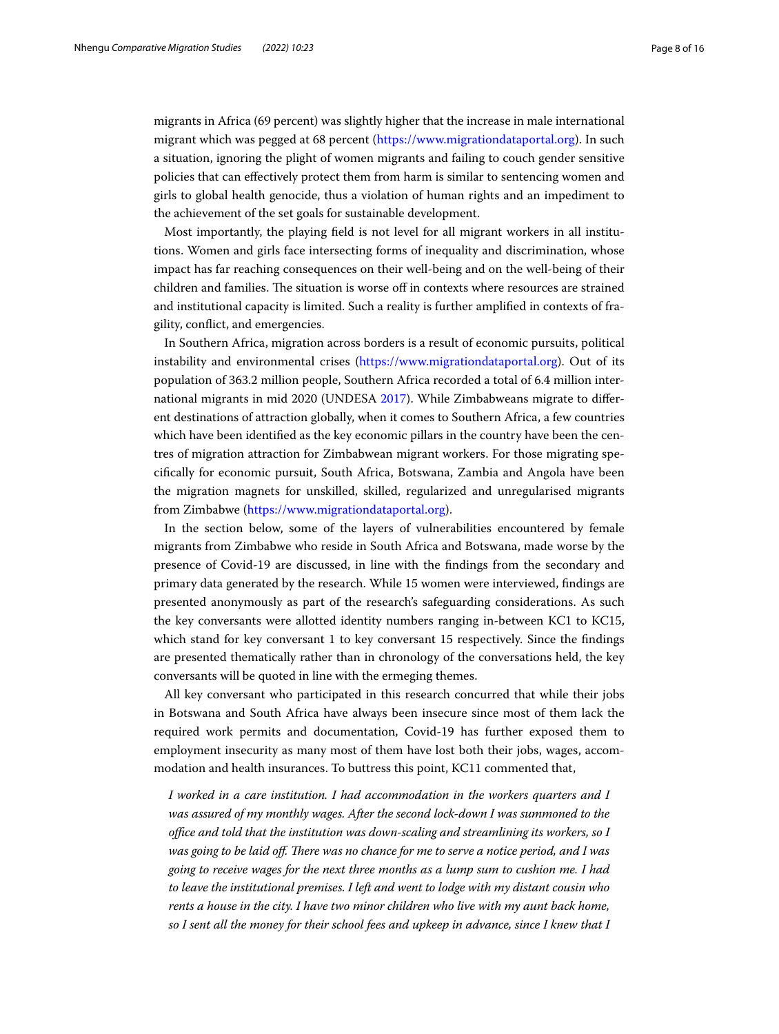migrants in Africa (69 percent) was slightly higher that the increase in male international migrant which was pegged at 68 percent [\(https://www.migrationdataportal.org\)](https://www.migrationdataportal.org). In such a situation, ignoring the plight of women migrants and failing to couch gender sensitive policies that can efectively protect them from harm is similar to sentencing women and girls to global health genocide, thus a violation of human rights and an impediment to the achievement of the set goals for sustainable development.

Most importantly, the playing feld is not level for all migrant workers in all institutions. Women and girls face intersecting forms of inequality and discrimination, whose impact has far reaching consequences on their well-being and on the well-being of their children and families. The situation is worse off in contexts where resources are strained and institutional capacity is limited. Such a reality is further amplifed in contexts of fragility, confict, and emergencies.

In Southern Africa, migration across borders is a result of economic pursuits, political instability and environmental crises (<https://www.migrationdataportal.org>). Out of its population of 363.2 million people, Southern Africa recorded a total of 6.4 million international migrants in mid 2020 (UNDESA [2017\)](#page-15-12). While Zimbabweans migrate to diferent destinations of attraction globally, when it comes to Southern Africa, a few countries which have been identifed as the key economic pillars in the country have been the centres of migration attraction for Zimbabwean migrant workers. For those migrating specifcally for economic pursuit, South Africa, Botswana, Zambia and Angola have been the migration magnets for unskilled, skilled, regularized and unregularised migrants from Zimbabwe [\(https://www.migrationdataportal.org\)](https://www.migrationdataportal.org).

In the section below, some of the layers of vulnerabilities encountered by female migrants from Zimbabwe who reside in South Africa and Botswana, made worse by the presence of Covid-19 are discussed, in line with the fndings from the secondary and primary data generated by the research. While 15 women were interviewed, fndings are presented anonymously as part of the research's safeguarding considerations. As such the key conversants were allotted identity numbers ranging in-between KC1 to KC15, which stand for key conversant 1 to key conversant 15 respectively. Since the fndings are presented thematically rather than in chronology of the conversations held, the key conversants will be quoted in line with the ermeging themes.

All key conversant who participated in this research concurred that while their jobs in Botswana and South Africa have always been insecure since most of them lack the required work permits and documentation, Covid-19 has further exposed them to employment insecurity as many most of them have lost both their jobs, wages, accommodation and health insurances. To buttress this point, KC11 commented that,

*I worked in a care institution. I had accommodation in the workers quarters and I was assured of my monthly wages. After the second lock-down I was summoned to the*  office and told that the institution was down-scaling and streamlining its workers, so I *was going to be laid off. There was no chance for me to serve a notice period, and I was going to receive wages for the next three months as a lump sum to cushion me. I had to leave the institutional premises. I left and went to lodge with my distant cousin who rents a house in the city. I have two minor children who live with my aunt back home, so I sent all the money for their school fees and upkeep in advance, since I knew that I*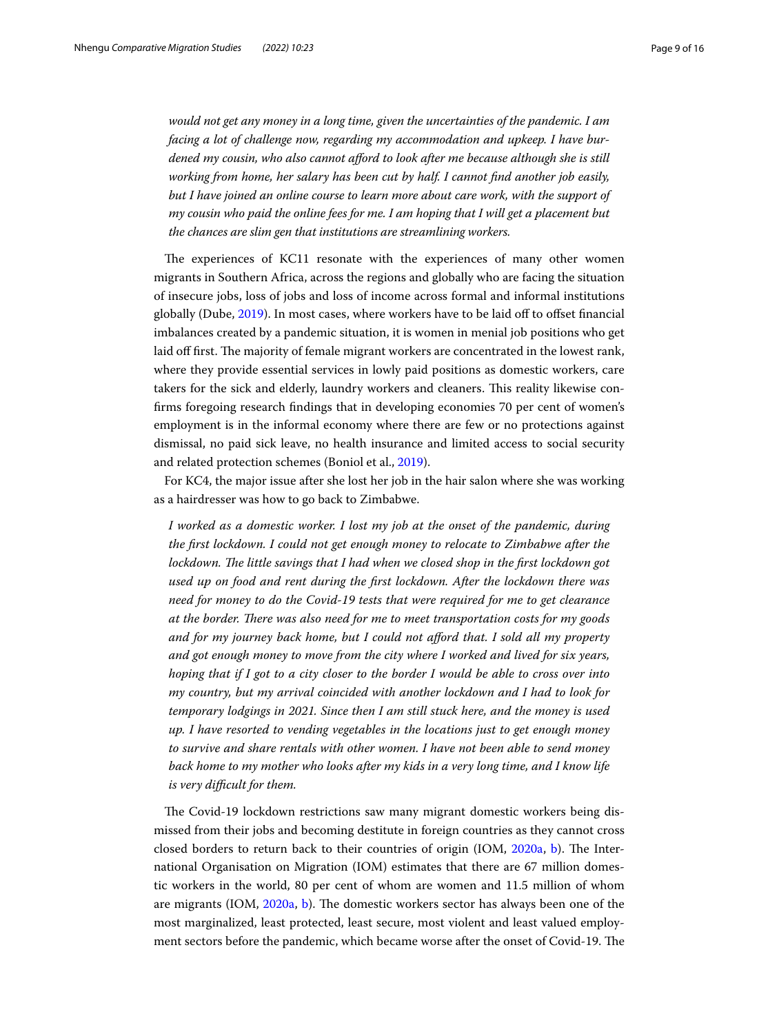*would not get any money in a long time, given the uncertainties of the pandemic. I am facing a lot of challenge now, regarding my accommodation and upkeep. I have burdened my cousin, who also cannot aford to look after me because although she is still working from home, her salary has been cut by half. I cannot fnd another job easily, but I have joined an online course to learn more about care work, with the support of my cousin who paid the online fees for me. I am hoping that I will get a placement but the chances are slim gen that institutions are streamlining workers.*

The experiences of KC11 resonate with the experiences of many other women migrants in Southern Africa, across the regions and globally who are facing the situation of insecure jobs, loss of jobs and loss of income across formal and informal institutions globally (Dube, [2019\)](#page-14-9). In most cases, where workers have to be laid off to offset financial imbalances created by a pandemic situation, it is women in menial job positions who get laid off first. The majority of female migrant workers are concentrated in the lowest rank, where they provide essential services in lowly paid positions as domestic workers, care takers for the sick and elderly, laundry workers and cleaners. This reality likewise confrms foregoing research fndings that in developing economies 70 per cent of women's employment is in the informal economy where there are few or no protections against dismissal, no paid sick leave, no health insurance and limited access to social security and related protection schemes (Boniol et al., [2019\)](#page-14-12).

For KC4, the major issue after she lost her job in the hair salon where she was working as a hairdresser was how to go back to Zimbabwe.

*I worked as a domestic worker. I lost my job at the onset of the pandemic, during the frst lockdown. I could not get enough money to relocate to Zimbabwe after the*  lockdown. The little savings that I had when we closed shop in the first lockdown got *used up on food and rent during the frst lockdown. After the lockdown there was need for money to do the Covid-19 tests that were required for me to get clearance*  at the border. There was also need for me to meet transportation costs for my goods *and for my journey back home, but I could not aford that. I sold all my property and got enough money to move from the city where I worked and lived for six years, hoping that if I got to a city closer to the border I would be able to cross over into my country, but my arrival coincided with another lockdown and I had to look for temporary lodgings in 2021. Since then I am still stuck here, and the money is used up. I have resorted to vending vegetables in the locations just to get enough money to survive and share rentals with other women. I have not been able to send money back home to my mother who looks after my kids in a very long time, and I know life is very difcult for them.*

The Covid-19 lockdown restrictions saw many migrant domestic workers being dismissed from their jobs and becoming destitute in foreign countries as they cannot cross closed borders to return back to their countries of origin (IOM, [2020a](#page-14-10), [b](#page-14-11)). The International Organisation on Migration (IOM) estimates that there are 67 million domestic workers in the world, 80 per cent of whom are women and 11.5 million of whom are migrants (IOM, [2020a,](#page-14-10) [b\)](#page-14-11). Te domestic workers sector has always been one of the most marginalized, least protected, least secure, most violent and least valued employment sectors before the pandemic, which became worse after the onset of Covid-19. The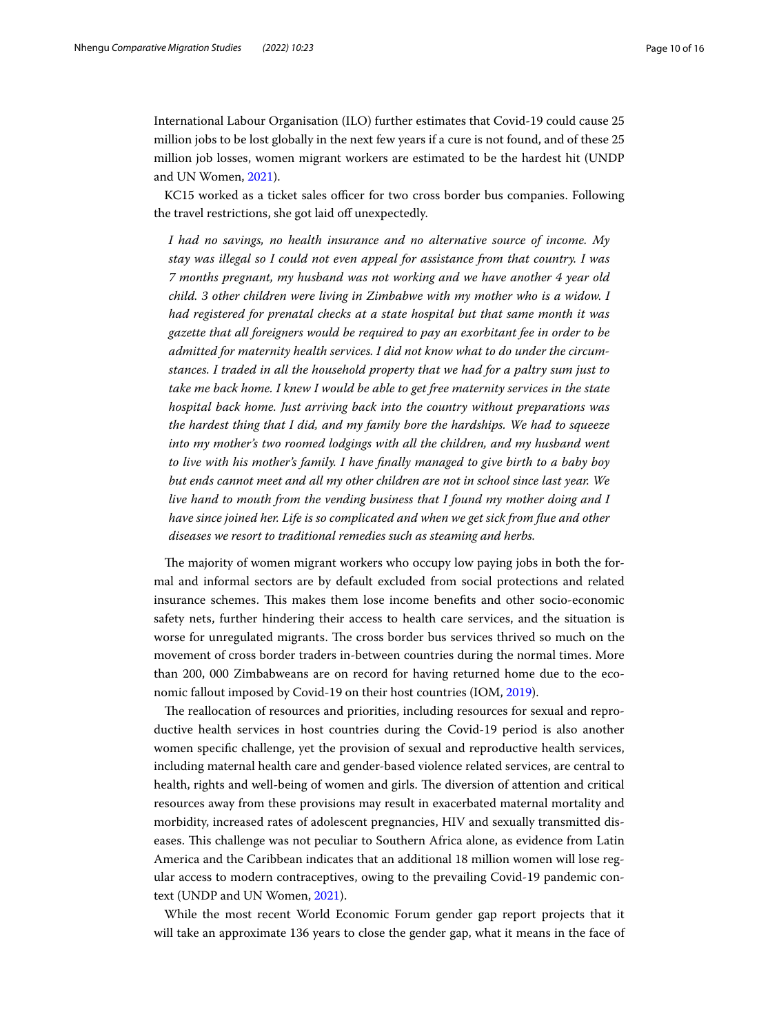International Labour Organisation (ILO) further estimates that Covid-19 could cause 25 million jobs to be lost globally in the next few years if a cure is not found, and of these 25 million job losses, women migrant workers are estimated to be the hardest hit (UNDP and UN Women, [2021\)](#page-15-13).

KC15 worked as a ticket sales officer for two cross border bus companies. Following the travel restrictions, she got laid off unexpectedly.

*I had no savings, no health insurance and no alternative source of income. My stay was illegal so I could not even appeal for assistance from that country. I was 7 months pregnant, my husband was not working and we have another 4 year old child. 3 other children were living in Zimbabwe with my mother who is a widow. I had registered for prenatal checks at a state hospital but that same month it was gazette that all foreigners would be required to pay an exorbitant fee in order to be admitted for maternity health services. I did not know what to do under the circumstances. I traded in all the household property that we had for a paltry sum just to take me back home. I knew I would be able to get free maternity services in the state hospital back home. Just arriving back into the country without preparations was the hardest thing that I did, and my family bore the hardships. We had to squeeze*  into my mother's two roomed lodgings with all the children, and my husband went *to live with his mother's family. I have fnally managed to give birth to a baby boy but ends cannot meet and all my other children are not in school since last year. We live hand to mouth from the vending business that I found my mother doing and I have since joined her. Life is so complicated and when we get sick from fue and other diseases we resort to traditional remedies such as steaming and herbs.*

The majority of women migrant workers who occupy low paying jobs in both the formal and informal sectors are by default excluded from social protections and related insurance schemes. Tis makes them lose income benefts and other socio-economic safety nets, further hindering their access to health care services, and the situation is worse for unregulated migrants. The cross border bus services thrived so much on the movement of cross border traders in-between countries during the normal times. More than 200, 000 Zimbabweans are on record for having returned home due to the economic fallout imposed by Covid-19 on their host countries (IOM, [2019\)](#page-14-13).

The reallocation of resources and priorities, including resources for sexual and reproductive health services in host countries during the Covid-19 period is also another women specifc challenge, yet the provision of sexual and reproductive health services, including maternal health care and gender-based violence related services, are central to health, rights and well-being of women and girls. The diversion of attention and critical resources away from these provisions may result in exacerbated maternal mortality and morbidity, increased rates of adolescent pregnancies, HIV and sexually transmitted diseases. This challenge was not peculiar to Southern Africa alone, as evidence from Latin America and the Caribbean indicates that an additional 18 million women will lose regular access to modern contraceptives, owing to the prevailing Covid-19 pandemic context (UNDP and UN Women, [2021\)](#page-15-14).

While the most recent World Economic Forum gender gap report projects that it will take an approximate 136 years to close the gender gap, what it means in the face of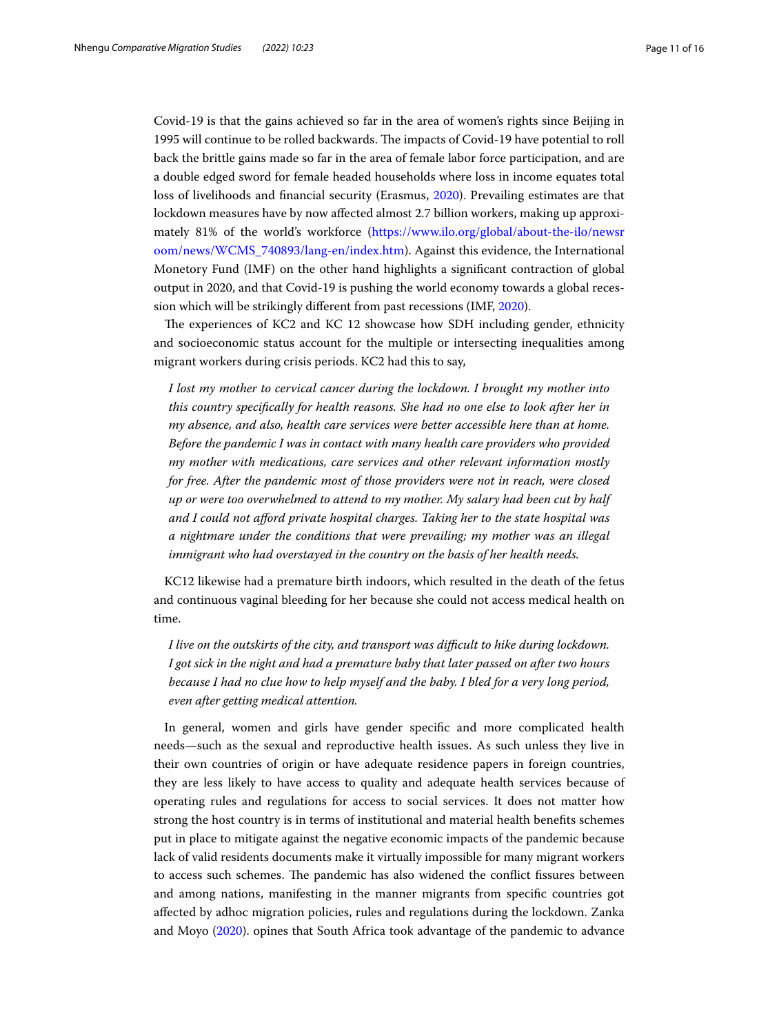Covid-19 is that the gains achieved so far in the area of women's rights since Beijing in 1995 will continue to be rolled backwards. The impacts of Covid-19 have potential to roll back the brittle gains made so far in the area of female labor force participation, and are a double edged sword for female headed households where loss in income equates total loss of livelihoods and fnancial security (Erasmus, [2020](#page-14-14)). Prevailing estimates are that lockdown measures have by now afected almost 2.7 billion workers, making up approximately 81% of the world's workforce [\(https://www.ilo.org/global/about-the-ilo/newsr](https://www.ilo.org/global/about-the-ilo/newsroom/news/WCMS_740893/lang-en/index.htm) [oom/news/WCMS\\_740893/lang-en/index.htm](https://www.ilo.org/global/about-the-ilo/newsroom/news/WCMS_740893/lang-en/index.htm)). Against this evidence, the International Monetory Fund (IMF) on the other hand highlights a signifcant contraction of global output in 2020, and that Covid-19 is pushing the world economy towards a global recession which will be strikingly diferent from past recessions (IMF, [2020\)](#page-14-15).

The experiences of KC2 and KC 12 showcase how SDH including gender, ethnicity and socioeconomic status account for the multiple or intersecting inequalities among migrant workers during crisis periods. KC2 had this to say,

*I lost my mother to cervical cancer during the lockdown. I brought my mother into this country specifcally for health reasons. She had no one else to look after her in my absence, and also, health care services were better accessible here than at home. Before the pandemic I was in contact with many health care providers who provided my mother with medications, care services and other relevant information mostly*  for free. After the pandemic most of those providers were not in reach, were closed *up or were too overwhelmed to attend to my mother. My salary had been cut by half and I could not aford private hospital charges. Taking her to the state hospital was a nightmare under the conditions that were prevailing; my mother was an illegal immigrant who had overstayed in the country on the basis of her health needs.*

KC12 likewise had a premature birth indoors, which resulted in the death of the fetus and continuous vaginal bleeding for her because she could not access medical health on time.

*I live on the outskirts of the city, and transport was difcult to hike during lockdown. I got sick in the night and had a premature baby that later passed on after two hours because I had no clue how to help myself and the baby. I bled for a very long period, even after getting medical attention.*

In general, women and girls have gender specifc and more complicated health needs—such as the sexual and reproductive health issues. As such unless they live in their own countries of origin or have adequate residence papers in foreign countries, they are less likely to have access to quality and adequate health services because of operating rules and regulations for access to social services. It does not matter how strong the host country is in terms of institutional and material health benefts schemes put in place to mitigate against the negative economic impacts of the pandemic because lack of valid residents documents make it virtually impossible for many migrant workers to access such schemes. The pandemic has also widened the conflict fissures between and among nations, manifesting in the manner migrants from specifc countries got afected by adhoc migration policies, rules and regulations during the lockdown. Zanka and Moyo ([2020](#page-15-15)). opines that South Africa took advantage of the pandemic to advance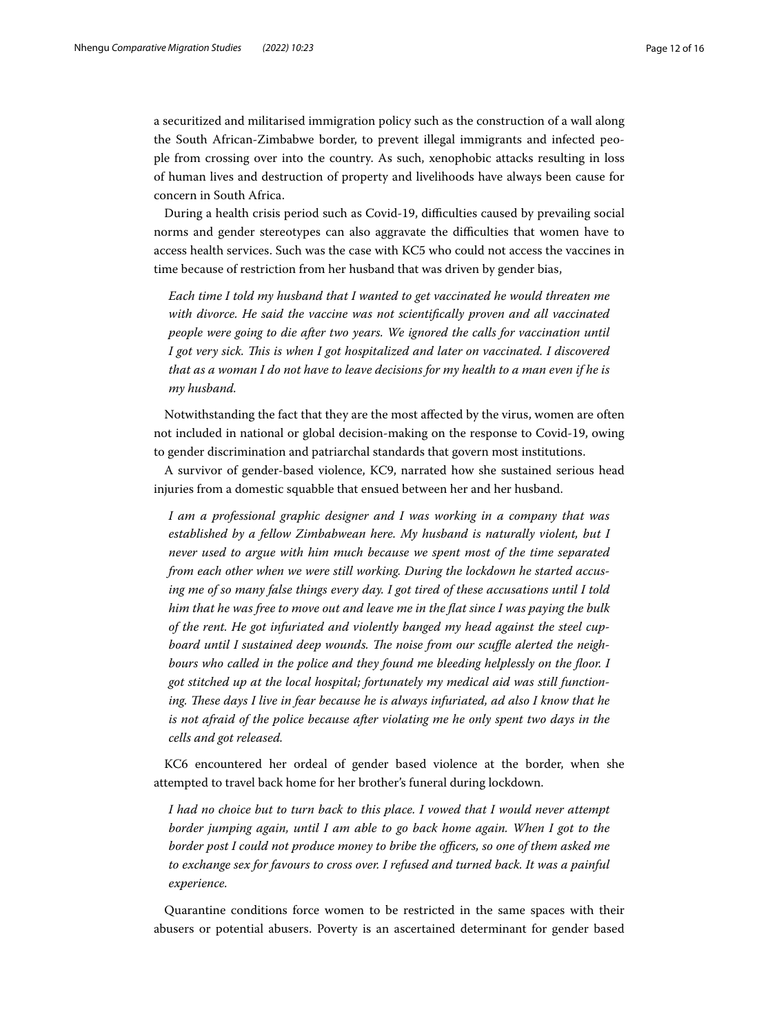a securitized and militarised immigration policy such as the construction of a wall along the South African-Zimbabwe border, to prevent illegal immigrants and infected people from crossing over into the country. As such, xenophobic attacks resulting in loss of human lives and destruction of property and livelihoods have always been cause for concern in South Africa.

During a health crisis period such as Covid-19, difculties caused by prevailing social norms and gender stereotypes can also aggravate the difficulties that women have to access health services. Such was the case with KC5 who could not access the vaccines in time because of restriction from her husband that was driven by gender bias,

*Each time I told my husband that I wanted to get vaccinated he would threaten me with divorce. He said the vaccine was not scientifcally proven and all vaccinated people were going to die after two years. We ignored the calls for vaccination until I got very sick. Tis is when I got hospitalized and later on vaccinated. I discovered that as a woman I do not have to leave decisions for my health to a man even if he is my husband.*

Notwithstanding the fact that they are the most afected by the virus, women are often not included in national or global decision-making on the response to Covid-19, owing to gender discrimination and patriarchal standards that govern most institutions.

A survivor of gender-based violence, KC9, narrated how she sustained serious head injuries from a domestic squabble that ensued between her and her husband.

*I am a professional graphic designer and I was working in a company that was established by a fellow Zimbabwean here. My husband is naturally violent, but I never used to argue with him much because we spent most of the time separated from each other when we were still working. During the lockdown he started accusing me of so many false things every day. I got tired of these accusations until I told him that he was free to move out and leave me in the fat since I was paying the bulk of the rent. He got infuriated and violently banged my head against the steel cup*board until I sustained deep wounds. The noise from our scuffle alerted the neighbours who called in the police and they found me bleeding helplessly on the floor. I *got stitched up at the local hospital; fortunately my medical aid was still function*ing. These days I live in fear because he is always infuriated, ad also I know that he *is not afraid of the police because after violating me he only spent two days in the cells and got released.*

KC6 encountered her ordeal of gender based violence at the border, when she attempted to travel back home for her brother's funeral during lockdown.

*I had no choice but to turn back to this place. I vowed that I would never attempt*  border jumping again, until I am able to go back home again. When I got to the *border post I could not produce money to bribe the officers, so one of them asked me to exchange sex for favours to cross over. I refused and turned back. It was a painful experience.*

Quarantine conditions force women to be restricted in the same spaces with their abusers or potential abusers. Poverty is an ascertained determinant for gender based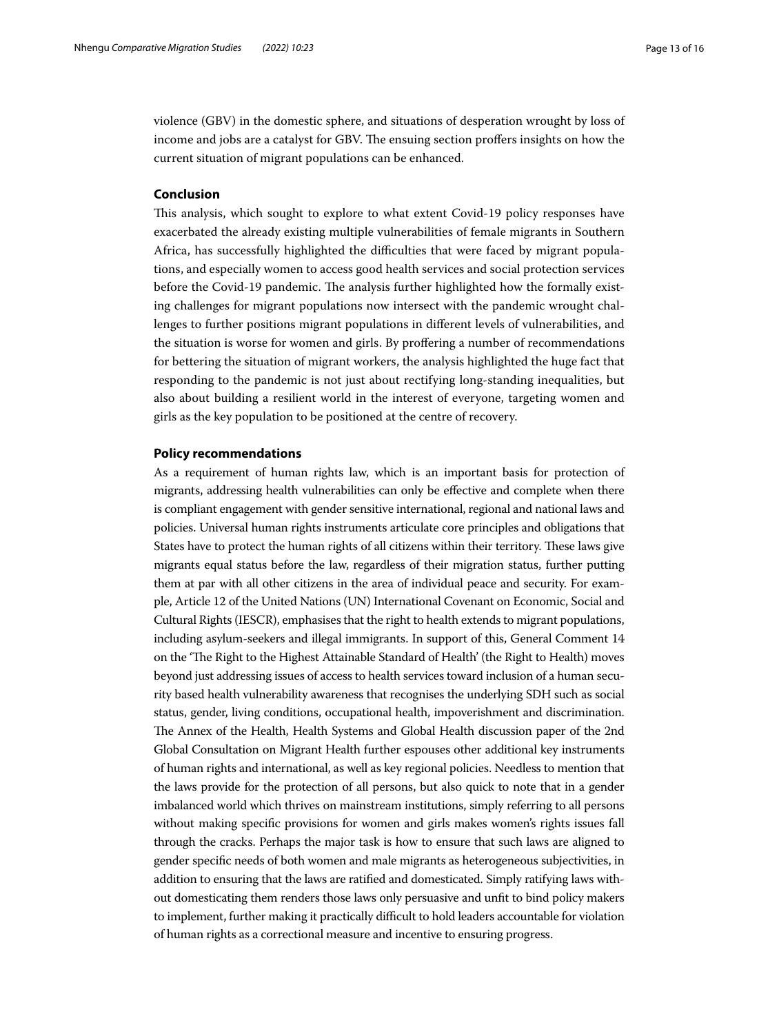violence (GBV) in the domestic sphere, and situations of desperation wrought by loss of income and jobs are a catalyst for GBV. The ensuing section proffers insights on how the current situation of migrant populations can be enhanced.

# **Conclusion**

This analysis, which sought to explore to what extent Covid-19 policy responses have exacerbated the already existing multiple vulnerabilities of female migrants in Southern Africa, has successfully highlighted the difficulties that were faced by migrant populations, and especially women to access good health services and social protection services before the Covid-19 pandemic. The analysis further highlighted how the formally existing challenges for migrant populations now intersect with the pandemic wrought challenges to further positions migrant populations in diferent levels of vulnerabilities, and the situation is worse for women and girls. By profering a number of recommendations for bettering the situation of migrant workers, the analysis highlighted the huge fact that responding to the pandemic is not just about rectifying long-standing inequalities, but also about building a resilient world in the interest of everyone, targeting women and girls as the key population to be positioned at the centre of recovery.

### **Policy recommendations**

As a requirement of human rights law, which is an important basis for protection of migrants, addressing health vulnerabilities can only be efective and complete when there is compliant engagement with gender sensitive international, regional and national laws and policies. Universal human rights instruments articulate core principles and obligations that States have to protect the human rights of all citizens within their territory. These laws give migrants equal status before the law, regardless of their migration status, further putting them at par with all other citizens in the area of individual peace and security. For example, Article 12 of the United Nations (UN) International Covenant on Economic, Social and Cultural Rights (IESCR), emphasises that the right to health extends to migrant populations, including asylum-seekers and illegal immigrants. In support of this, General Comment 14 on the 'Te Right to the Highest Attainable Standard of Health' (the Right to Health) moves beyond just addressing issues of access to health services toward inclusion of a human security based health vulnerability awareness that recognises the underlying SDH such as social status, gender, living conditions, occupational health, impoverishment and discrimination. The Annex of the Health, Health Systems and Global Health discussion paper of the 2nd Global Consultation on Migrant Health further espouses other additional key instruments of human rights and international, as well as key regional policies. Needless to mention that the laws provide for the protection of all persons, but also quick to note that in a gender imbalanced world which thrives on mainstream institutions, simply referring to all persons without making specifc provisions for women and girls makes women's rights issues fall through the cracks. Perhaps the major task is how to ensure that such laws are aligned to gender specifc needs of both women and male migrants as heterogeneous subjectivities, in addition to ensuring that the laws are ratifed and domesticated. Simply ratifying laws without domesticating them renders those laws only persuasive and unft to bind policy makers to implement, further making it practically difficult to hold leaders accountable for violation of human rights as a correctional measure and incentive to ensuring progress.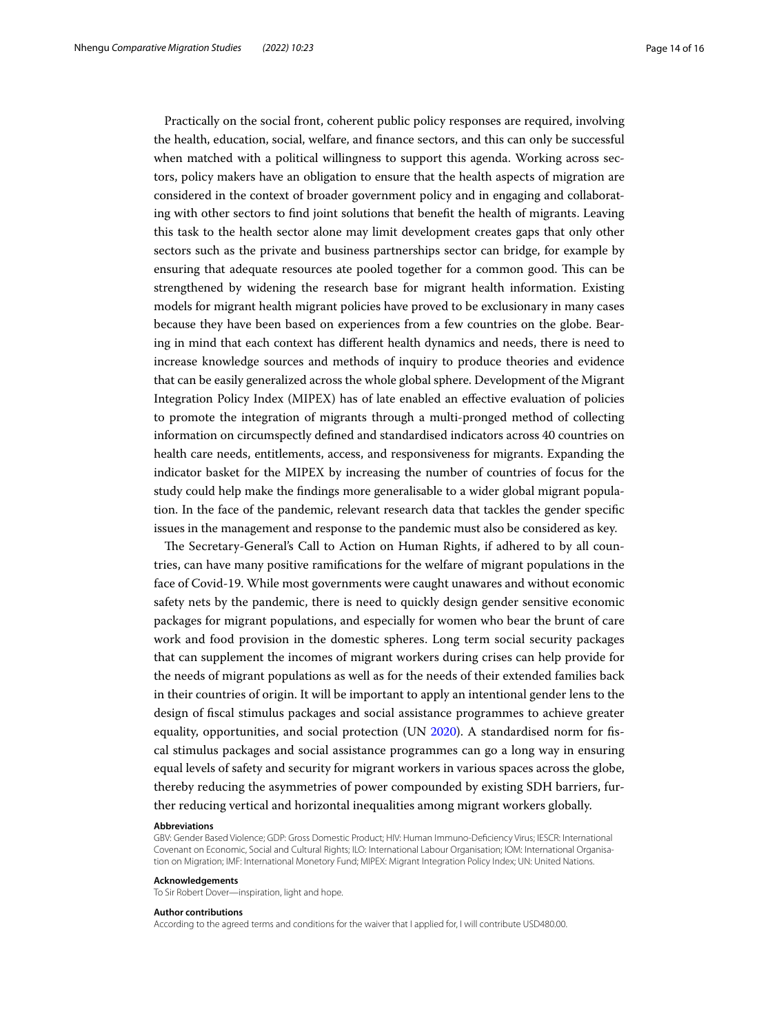Practically on the social front, coherent public policy responses are required, involving the health, education, social, welfare, and fnance sectors, and this can only be successful when matched with a political willingness to support this agenda. Working across sectors, policy makers have an obligation to ensure that the health aspects of migration are considered in the context of broader government policy and in engaging and collaborating with other sectors to fnd joint solutions that beneft the health of migrants. Leaving this task to the health sector alone may limit development creates gaps that only other sectors such as the private and business partnerships sector can bridge, for example by ensuring that adequate resources ate pooled together for a common good. This can be strengthened by widening the research base for migrant health information. Existing models for migrant health migrant policies have proved to be exclusionary in many cases because they have been based on experiences from a few countries on the globe. Bearing in mind that each context has diferent health dynamics and needs, there is need to increase knowledge sources and methods of inquiry to produce theories and evidence that can be easily generalized across the whole global sphere. Development of the Migrant Integration Policy Index (MIPEX) has of late enabled an efective evaluation of policies to promote the integration of migrants through a multi-pronged method of collecting information on circumspectly defned and standardised indicators across 40 countries on health care needs, entitlements, access, and responsiveness for migrants. Expanding the indicator basket for the MIPEX by increasing the number of countries of focus for the study could help make the fndings more generalisable to a wider global migrant population. In the face of the pandemic, relevant research data that tackles the gender specifc issues in the management and response to the pandemic must also be considered as key.

The Secretary-General's Call to Action on Human Rights, if adhered to by all countries, can have many positive ramifcations for the welfare of migrant populations in the face of Covid-19. While most governments were caught unawares and without economic safety nets by the pandemic, there is need to quickly design gender sensitive economic packages for migrant populations, and especially for women who bear the brunt of care work and food provision in the domestic spheres. Long term social security packages that can supplement the incomes of migrant workers during crises can help provide for the needs of migrant populations as well as for the needs of their extended families back in their countries of origin. It will be important to apply an intentional gender lens to the design of fscal stimulus packages and social assistance programmes to achieve greater equality, opportunities, and social protection (UN [2020\)](#page-15-16). A standardised norm for fscal stimulus packages and social assistance programmes can go a long way in ensuring equal levels of safety and security for migrant workers in various spaces across the globe, thereby reducing the asymmetries of power compounded by existing SDH barriers, further reducing vertical and horizontal inequalities among migrant workers globally.

#### **Abbreviations**

GBV: Gender Based Violence; GDP: Gross Domestic Product; HIV: Human Immuno-Defciency Virus; IESCR: International Covenant on Economic, Social and Cultural Rights; ILO: International Labour Organisation; IOM: International Organisation on Migration; IMF: International Monetory Fund; MIPEX: Migrant Integration Policy Index; UN: United Nations.

#### **Acknowledgements**

To Sir Robert Dover—inspiration, light and hope.

#### **Author contributions**

According to the agreed terms and conditions for the waiver that I applied for, I will contribute USD480.00.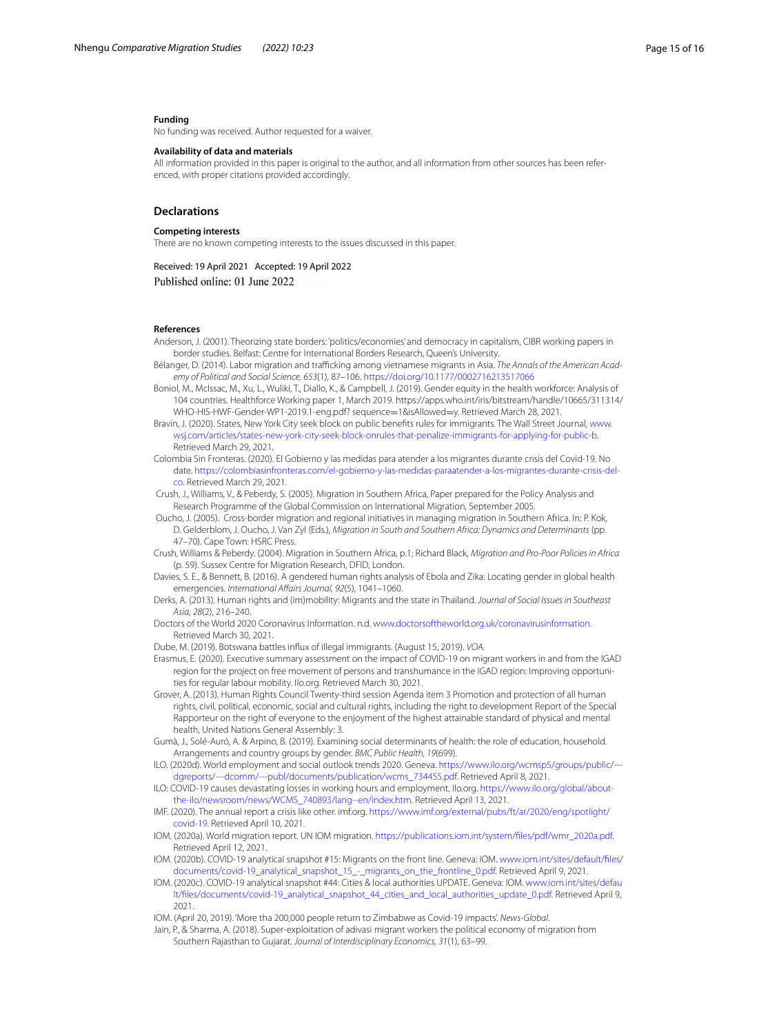## **Funding**

No funding was received. Author requested for a waiver.

#### **Availability of data and materials**

All information provided in this paper is original to the author, and all information from other sources has been referenced, with proper citations provided accordingly.

## **Declarations**

#### **Competing interests**

There are no known competing interests to the issues discussed in this paper.

Received: 19 April 2021 Accepted: 19 April 2022 Published online: 01 June 2022

#### **References**

- <span id="page-14-8"></span>Anderson, J. (2001). Theorizing state borders: 'politics/economies' and democracy in capitalism, CIBR working papers in border studies. Belfast: Centre for International Borders Research, Queen's University.
- <span id="page-14-5"></span>Bélanger, D. (2014). Labor migration and trafcking among vietnamese migrants in Asia. *The Annals of the American Academy of Political and Social Science, 653*(1), 87–106.<https://doi.org/10.1177/0002716213517066>
- <span id="page-14-12"></span>Boniol, M., McIssac, M., Xu, L., Wuliki, T., Diallo, K., & Campbell, J. (2019). Gender equity in the health workforce: Analysis of 104 countries. Healthforce Working paper 1, March 2019. https://apps.who.int/iris/bitstream/handle/10665/311314/ WHO-HIS-HWF-Gender-WP1-2019.1-eng.pdf? sequence=1&isAllowed=y. Retrieved March 28, 2021.
- Bravin, J. (2020). States, New York City seek block on public benefts rules for immigrants. The Wall Street Journal, [www.](http://www.wsj.com/articles/states-new-york-city-seek-block-onrules-that-penalize-immigrants-for-applying-for-public-b) [wsj.com/articles/states-new-york-city-seek-block-onrules-that-penalize-immigrants-for-applying-for-public-b](http://www.wsj.com/articles/states-new-york-city-seek-block-onrules-that-penalize-immigrants-for-applying-for-public-b). Retrieved March 29, 2021.
- Colombia Sin Fronteras. (2020). El Gobierno y las medidas para atender a los migrantes durante crisis del Covid-19. No date. [https://colombiasinfronteras.com/el-gobierno-y-las-medidas-paraatender-a-los-migrantes-durante-crisis-del](https://colombiasinfronteras.com/el-gobierno-y-las-medidas-paraatender-a-los-migrantes-durante-crisis-del-co)[co.](https://colombiasinfronteras.com/el-gobierno-y-las-medidas-paraatender-a-los-migrantes-durante-crisis-del-co) Retrieved March 29, 2021.
- <span id="page-14-0"></span> Crush, J., Williams, V., & Peberdy, S. (2005). Migration in Southern Africa, Paper prepared for the Policy Analysis and Research Programme of the Global Commission on International Migration, September 2005.
- <span id="page-14-1"></span> Oucho, J. (2005). Cross-border migration and regional initiatives in managing migration in Southern Africa. In: P. Kok, D. Gelderblom, J. Oucho, J. Van Zyl (Eds.), *Migration in South and Southern Africa: Dynamics and Determinants* (pp. 47–70). Cape Town: HSRC Press.
- <span id="page-14-2"></span>Crush, Williams & Peberdy. (2004). Migration in Southern Africa, p.1; Richard Black, *Migration and Pro-Poor Policies in Africa* (p. 59). Sussex Centre for Migration Research, DFID, London.
- Davies, S. E., & Bennett, B. (2016). A gendered human rights analysis of Ebola and Zika: Locating gender in global health emergencies. *International Afairs Journal, 92*(5), 1041–1060.
- <span id="page-14-4"></span>Derks, A. (2013). Human rights and (im)mobility: Migrants and the state in Thailand. *Journal of Social Issues in Southeast Asia, 28*(2), 216–240.
- Doctors of the World 2020 Coronavirus Information. n.d. [www.doctorsoftheworld.org.uk/coronavirusinformation](http://www.doctorsoftheworld.org.uk/coronavirusinformation). Retrieved March 30, 2021.
- <span id="page-14-9"></span>Dube, M. (2019). Botswana battles infux of illegal immigrants. (August 15, 2019). *VOA*.
- <span id="page-14-14"></span>Erasmus, E. (2020). Executive summary assessment on the impact of COVID-19 on migrant workers in and from the IGAD region for the project on free movement of persons and transhumance in the IGAD region: Improving opportunities for regular labour mobility. Ilo.org. Retrieved March 30, 2021.
- <span id="page-14-3"></span>Grover, A. (2013). Human Rights Council Twenty-third session Agenda item 3 Promotion and protection of all human rights, civil, political, economic, social and cultural rights, including the right to development Report of the Special Rapporteur on the right of everyone to the enjoyment of the highest attainable standard of physical and mental health, United Nations General Assembly: 3.
- <span id="page-14-7"></span>Gumà, J., Solé-Auró, A. & Arpino, B. (2019). Examining social determinants of health: the role of education, household. Arrangements and country groups by gender. *BMC Public Health, 19*(699).
- ILO. (2020d). World employment and social outlook trends 2020. Geneva. https://www.ilo.org/wcmsp5/groups/public/-[dgreports/---dcomm/---publ/documents/publication/wcms\\_734455.pdf](https://www.ilo.org/wcmsp5/groups/public/---dgreports/---dcomm/---publ/documents/publication/wcms_734455.pdf). Retrieved April 8, 2021.
- ILO: COVID-19 causes devastating losses in working hours and employment. Ilo.org. [https://www.ilo.org/global/about](https://www.ilo.org/global/about-the-ilo/newsroom/news/WCMS_740893/lang--en/index.htm)[the-ilo/newsroom/news/WCMS\\_740893/lang--en/index.htm.](https://www.ilo.org/global/about-the-ilo/newsroom/news/WCMS_740893/lang--en/index.htm) Retrieved April 13, 2021.
- <span id="page-14-15"></span>IMF. (2020). The annual report a crisis like other. imf.org. [https://www.imf.org/external/pubs/ft/ar/2020/eng/spotlight/](https://www.imf.org/external/pubs/ft/ar/2020/eng/spotlight/covid-19) [covid-19.](https://www.imf.org/external/pubs/ft/ar/2020/eng/spotlight/covid-19) Retrieved April 10, 2021.
- <span id="page-14-10"></span>IOM. (2020a). World migration report. UN IOM migration. [https://publications.iom.int/system/fles/pdf/wmr\\_2020a.pdf](https://publications.iom.int/system/files/pdf/wmr_2020a.pdf). Retrieved April 12, 2021.
- <span id="page-14-11"></span>IOM. (2020b). COVID-19 analytical snapshot #15: Migrants on the front line. Geneva: IOM. [www.iom.int/sites/default/fles/](http://www.iom.int/sites/default/files/documents/covid-19_analytical_snapshot_15_-_migrants_on_the_frontline_0.pdf) [documents/covid-19\\_analytical\\_snapshot\\_15\\_-\\_migrants\\_on\\_the\\_frontline\\_0.pdf.](http://www.iom.int/sites/default/files/documents/covid-19_analytical_snapshot_15_-_migrants_on_the_frontline_0.pdf) Retrieved April 9, 2021.
- IOM. (2020c). COVID-19 analytical snapshot #44: Cities & local authorities UPDATE. Geneva: IOM. [www.iom.int/sites/defau](http://www.iom.int/sites/default/files/documents/covid-19_analytical_snapshot_44_cities_and_local_authorities_update_0.pdf) [lt/fles/documents/covid-19\\_analytical\\_snapshot\\_44\\_cities\\_and\\_local\\_authorities\\_update\\_0.pdf.](http://www.iom.int/sites/default/files/documents/covid-19_analytical_snapshot_44_cities_and_local_authorities_update_0.pdf) Retrieved April 9, 2021.
- <span id="page-14-13"></span>IOM. (April 20, 2019). 'More tha 200,000 people return to Zimbabwe as Covid-19 impacts'. *News-Global*.
- <span id="page-14-6"></span>Jain, P., & Sharma, A. (2018). Super-exploitation of adivasi migrant workers the political economy of migration from Southern Rajasthan to Gujarat. *Journal of Interdisciplinary Economics, 31*(1), 63–99.